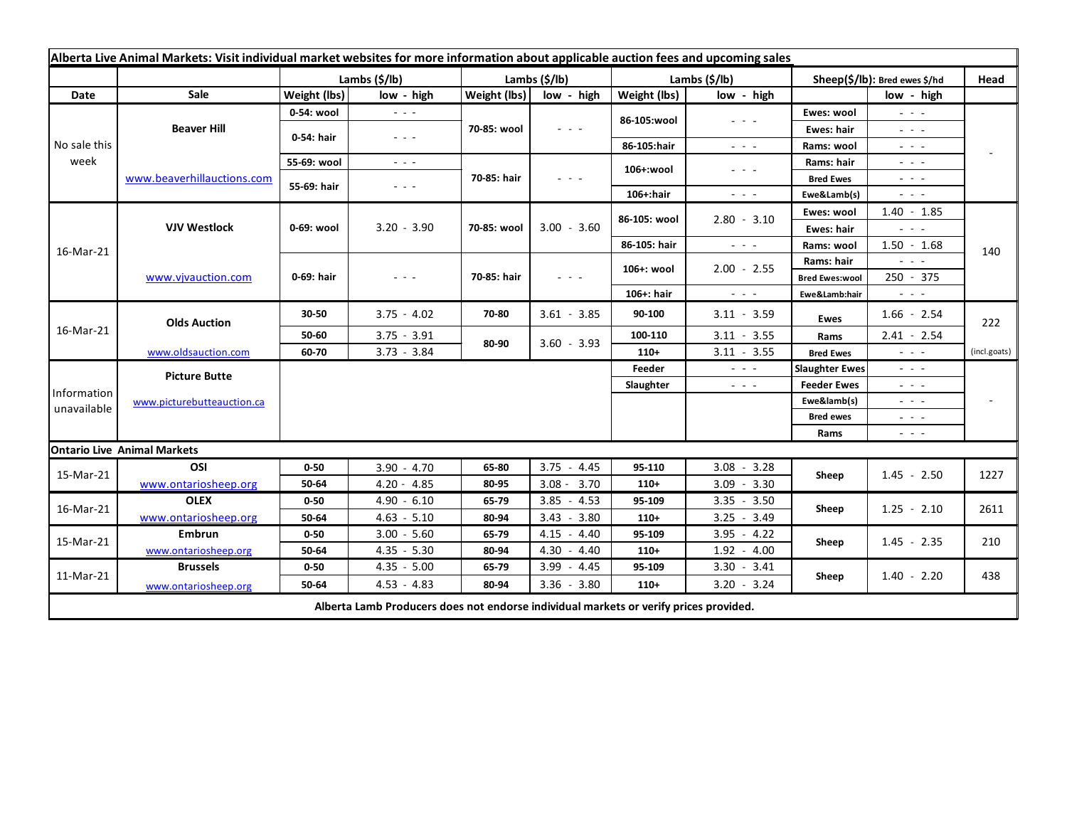| Alberta Live Animal Markets: Visit individual market websites for more information about applicable auction fees and upcoming sales |                                    |               |                                                           |               |                 |                       |                                                                                                                        |                               |                                                                                                                                                               |              |
|-------------------------------------------------------------------------------------------------------------------------------------|------------------------------------|---------------|-----------------------------------------------------------|---------------|-----------------|-----------------------|------------------------------------------------------------------------------------------------------------------------|-------------------------------|---------------------------------------------------------------------------------------------------------------------------------------------------------------|--------------|
|                                                                                                                                     |                                    | Lambs (\$/lb) |                                                           | Lambs (\$/lb) |                 | Lambs $(\frac{2}{3})$ |                                                                                                                        | Sheep(\$/lb): Bred ewes \$/hd |                                                                                                                                                               | Head         |
| Date                                                                                                                                | Sale                               | Weight (lbs)  | low - high                                                | Weight (lbs)  | low - high      | Weight (lbs)          | low - high                                                                                                             |                               | low - high                                                                                                                                                    |              |
| No sale this<br>week                                                                                                                | <b>Beaver Hill</b>                 | 0-54: wool    | $\frac{1}{2}$ , $\frac{1}{2}$                             | 70-85: wool   | $  -$           | 86-105:wool           | $\frac{1}{2} \left( \frac{1}{2} \right) \frac{1}{2} \left( \frac{1}{2} \right) \frac{1}{2} \left( \frac{1}{2} \right)$ | Ewes: wool                    | $\omega_{\rm{c}}$ , $\omega_{\rm{c}}$ , $\omega_{\rm{c}}$                                                                                                     |              |
|                                                                                                                                     |                                    | 0-54: hair    | $\omega_{\rm{c}} = 0.1$                                   |               |                 |                       |                                                                                                                        | Ewes: hair                    | 20202                                                                                                                                                         |              |
|                                                                                                                                     |                                    |               |                                                           |               |                 | 86-105:hair           | $\sim$ $ \sim$                                                                                                         | Rams: wool                    | الداريد الد                                                                                                                                                   |              |
|                                                                                                                                     | www.beaverhillauctions.com         | 55-69: wool   | $\omega_{\rm{c}}$ , $\omega_{\rm{c}}$ , $\omega_{\rm{c}}$ | 70-85: hair   | $  -$           | 106+:wool             | $  -$                                                                                                                  | Rams: hair                    | $  -$                                                                                                                                                         |              |
|                                                                                                                                     |                                    | 55-69: hair   | $  -$                                                     |               |                 |                       |                                                                                                                        | <b>Bred Ewes</b>              | $  -$                                                                                                                                                         |              |
|                                                                                                                                     |                                    |               |                                                           |               |                 | $106+$ :hair          | $\sim$ $ \sim$                                                                                                         | Ewe&Lamb(s)                   | $\sim$ $ \sim$                                                                                                                                                |              |
| 16-Mar-21                                                                                                                           | <b>VJV Westlock</b>                | 0-69: wool    | $3.20 - 3.90$                                             | 70-85: wool   | $3.00 - 3.60$   | 86-105: wool          | $2.80 - 3.10$                                                                                                          | Ewes: wool                    | $1.40 - 1.85$                                                                                                                                                 |              |
|                                                                                                                                     |                                    |               |                                                           |               |                 |                       |                                                                                                                        | Ewes: hair                    | $\omega_{\rm{eff}}=0.1$                                                                                                                                       |              |
|                                                                                                                                     |                                    |               |                                                           |               |                 | 86-105: hair          | $\omega_{\rm{eff}}$ and $\omega_{\rm{eff}}$                                                                            | Rams: wool                    | $1.50 - 1.68$                                                                                                                                                 | 140          |
|                                                                                                                                     | www.vjvauction.com                 | 0-69: hair    | $  -$                                                     | 70-85: hair   | $  -$           | 106+: wool            | $2.00 - 2.55$                                                                                                          | Rams: hair                    | .                                                                                                                                                             |              |
|                                                                                                                                     |                                    |               |                                                           |               |                 |                       |                                                                                                                        | <b>Bred Ewes:wool</b>         | 250 - 375                                                                                                                                                     |              |
|                                                                                                                                     |                                    |               |                                                           |               |                 | $106+$ : hair         | $\omega_{\rm{c}}$ , $\omega_{\rm{c}}$ , $\omega_{\rm{c}}$                                                              | Ewe&Lamb:hair                 | $\omega_{\rm{c}}$ , $\omega_{\rm{c}}$ , $\omega_{\rm{c}}$                                                                                                     |              |
| 16-Mar-21                                                                                                                           | <b>Olds Auction</b>                | 30-50         | $3.75 - 4.02$                                             | 70-80         | $3.61 - 3.85$   | 90-100                | $3.11 - 3.59$                                                                                                          | Ewes                          | $1.66 - 2.54$                                                                                                                                                 | 222          |
|                                                                                                                                     |                                    | 50-60         | $3.75 - 3.91$                                             | 80-90         | $3.60 - 3.93$   | 100-110               | $3.11 - 3.55$                                                                                                          | Rams                          | $2.41 - 2.54$                                                                                                                                                 |              |
|                                                                                                                                     | www.oldsauction.com                | 60-70         | $3.73 - 3.84$                                             |               |                 | $110+$                | $3.11 - 3.55$                                                                                                          | <b>Bred Ewes</b>              | $\sim$ 10 $\sim$                                                                                                                                              | (incl.goats) |
| Information<br>unavailable                                                                                                          | <b>Picture Butte</b>               |               |                                                           |               |                 | Feeder                | $\sim$ 100 $\sim$                                                                                                      | <b>Slaughter Ewes</b>         | $  -$                                                                                                                                                         |              |
|                                                                                                                                     | www.picturebutteauction.ca         |               |                                                           |               |                 | Slaughter             | $\sim$ 100 $\sim$                                                                                                      | <b>Feeder Ewes</b>            | $\frac{1}{2} \left( \frac{1}{2} \right) \left( \frac{1}{2} \right) \left( \frac{1}{2} \right) \left( \frac{1}{2} \right)$                                     |              |
|                                                                                                                                     |                                    |               |                                                           |               |                 |                       |                                                                                                                        | Ewe&lamb(s)                   | $\frac{1}{2} \left( \frac{1}{2} \right) \frac{1}{2} \left( \frac{1}{2} \right) \frac{1}{2} \left( \frac{1}{2} \right) \frac{1}{2} \left( \frac{1}{2} \right)$ |              |
|                                                                                                                                     |                                    |               |                                                           |               |                 |                       |                                                                                                                        | <b>Bred ewes</b>              | $\omega_{\rm{c}}$ , $\omega_{\rm{c}}$ , $\omega_{\rm{c}}$                                                                                                     |              |
|                                                                                                                                     |                                    |               |                                                           |               |                 |                       |                                                                                                                        | Rams                          | $\omega_{\rm{eff}}$ and $\omega_{\rm{eff}}$                                                                                                                   |              |
|                                                                                                                                     | <b>Ontario Live Animal Markets</b> |               |                                                           |               |                 |                       |                                                                                                                        |                               |                                                                                                                                                               |              |
| 15-Mar-21                                                                                                                           | OSI                                | $0 - 50$      | $3.90 - 4.70$                                             | 65-80         | 3.75<br>$-4.45$ | 95-110                | $3.08 - 3.28$                                                                                                          | Sheep                         | $1.45 - 2.50$                                                                                                                                                 | 1227         |
|                                                                                                                                     | www.ontariosheep.org               | 50-64         | $4.20 - 4.85$                                             | 80-95         | $3.08 - 3.70$   | $110+$                | $3.09 - 3.30$                                                                                                          |                               |                                                                                                                                                               |              |
| 16-Mar-21                                                                                                                           | <b>OLEX</b>                        | $0 - 50$      | $4.90 - 6.10$                                             | 65-79         | 3.85<br>$-4.53$ | 95-109                | $3.35 - 3.50$                                                                                                          | Sheep                         | $1.25 - 2.10$                                                                                                                                                 | 2611         |
|                                                                                                                                     | www.ontariosheep.org               | 50-64         | $4.63 - 5.10$                                             | 80-94         | $3.43 - 3.80$   | $110+$                | $3.25 - 3.49$                                                                                                          |                               |                                                                                                                                                               |              |
| 15-Mar-21<br>11-Mar-21                                                                                                              | <b>Embrun</b>                      | $0 - 50$      | $3.00 - 5.60$                                             | 65-79         | 4.15 - 4.40     | 95-109                | $3.95 - 4.22$                                                                                                          | Sheep                         | $1.45 - 2.35$                                                                                                                                                 | 210          |
|                                                                                                                                     | www.ontariosheep.org               | 50-64         | $4.35 - 5.30$                                             | 80-94         | $4.30 - 4.40$   | $110+$                | $1.92 - 4.00$                                                                                                          |                               |                                                                                                                                                               |              |
|                                                                                                                                     | <b>Brussels</b>                    | $0 - 50$      | $4.35 - 5.00$                                             | 65-79         | $3.99 - 4.45$   | 95-109                | $3.30 - 3.41$                                                                                                          | Sheep                         | $1.40 - 2.20$                                                                                                                                                 | 438          |
|                                                                                                                                     | www.ontariosheep.org               | 50-64         | $4.53 - 4.83$                                             | 80-94         | $3.36 - 3.80$   | 110+                  | $3.20 - 3.24$                                                                                                          |                               |                                                                                                                                                               |              |
| Alberta Lamb Producers does not endorse individual markets or verify prices provided.                                               |                                    |               |                                                           |               |                 |                       |                                                                                                                        |                               |                                                                                                                                                               |              |